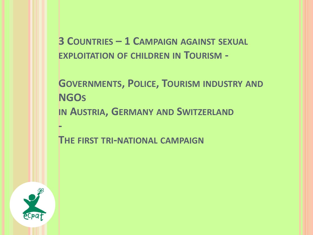**3 COUNTRIES – 1 CAMPAIGN AGAINST SEXUAL EXPLOITATION OF CHILDREN IN TOURISM -**

**GOVERNMENTS, POLICE, TOURISM INDUSTRY AND NGOS IN AUSTRIA, GERMANY AND SWITZERLAND -**

**THE FIRST TRI-NATIONAL CAMPAIGN**

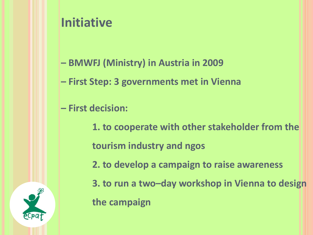## **Initiative**

- **– BMWFJ (Ministry) in Austria in 2009**
- **– First Step: 3 governments met in Vienna**
- **– First decision:** 
	- **1. to cooperate with other stakeholder from the tourism industry and ngos**
		- **2. to develop a campaign to raise awareness**
	- **3. to run a two–day workshop in Vienna to design the campaign**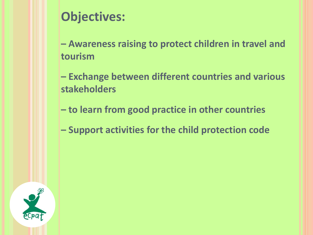## **Objectives:**

**– Awareness raising to protect children in travel and tourism** 

**– Exchange between different countries and various stakeholders**

**– to learn from good practice in other countries**

**– Support activities for the child protection code**

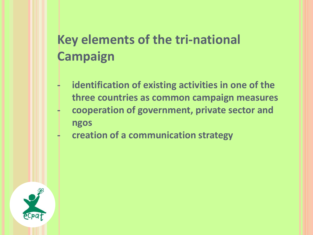# **Key elements of the tri-national Campaign**

- **- identification of existing activities in one of the three countries as common campaign measures**
- **- cooperation of government, private sector and ngos**
- **- creation of a communication strategy**

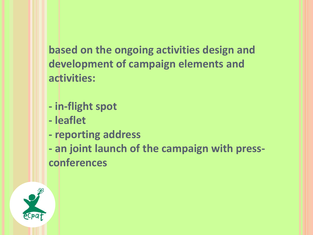**based on the ongoing activities design and development of campaign elements and activities:**

- **- in-flight spot**
- **- leaflet**
- **- reporting address**

**- an joint launch of the campaign with pressconferences**

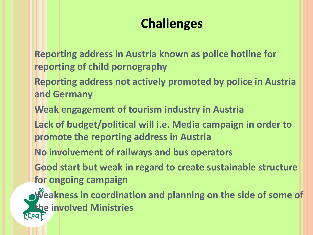## **Challenges**

**Reporting address in Austria known as police hotline for reporting of child pornography** 

**Reporting address not actively promoted by police in Austria and Germany**

**Weak engagement of tourism industry in Austria**

**Lack of budget/political will i.e. Media campaign in order to promote the reporting address in Austria**

**No involvement of railways and bus operators**

**Good start but weak in regard to create sustainable structure for ongoing campaign**

**Weakness in coordination and planning on the side of some of the involved Ministries**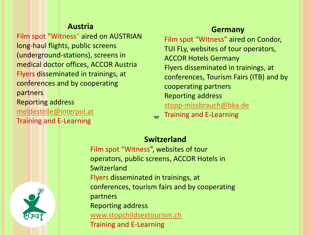#### **Austria**

Film spot "Witness" aired on AUSTRIAN long-haul flights, public screens (underground-stations), screens in medical doctor offices, ACCOR Austria Flyers disseminated in trainings, at conferences and by cooperating partners Reporting address [meldestelle@interpol.at](mailto:meldestelle@interpol.at) Training and E-Learning

**Germany**

Film spot "Witness" aired on Condor, TUI FLy, websites of tour operators, ACCOR Hotels Germany Flyers disseminated in trainings, at conferences, Tourism Fairs (ITB) and by cooperating partners Reporting address [stopp-missbrauch@bka.de](mailto:stopp-missbrauch@bka.de)

– Training and E-Learning



Film spot "Witness", websites of tour operators, public screens, ACCOR Hotels in Switzerland Flyers disseminated in trainings, at conferences, tourism fairs and by cooperating partners Reporting address [www.stopchildsextourism.ch](http://www.stopchildsextourism.ch/) Training and E-Learning

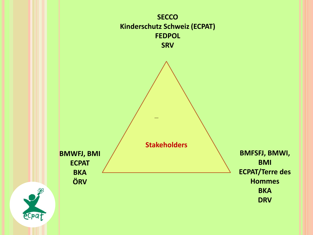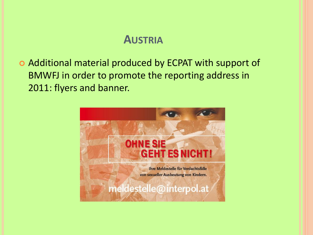### **AUSTRIA**

 Additional material produced by ECPAT with support of BMWFJ in order to promote the reporting address in 2011: flyers and banner.

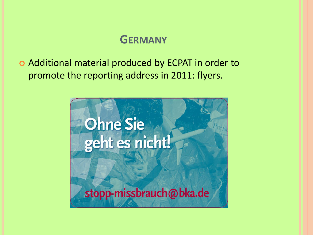### **GERMANY**

 Additional material produced by ECPAT in order to promote the reporting address in 2011: flyers.